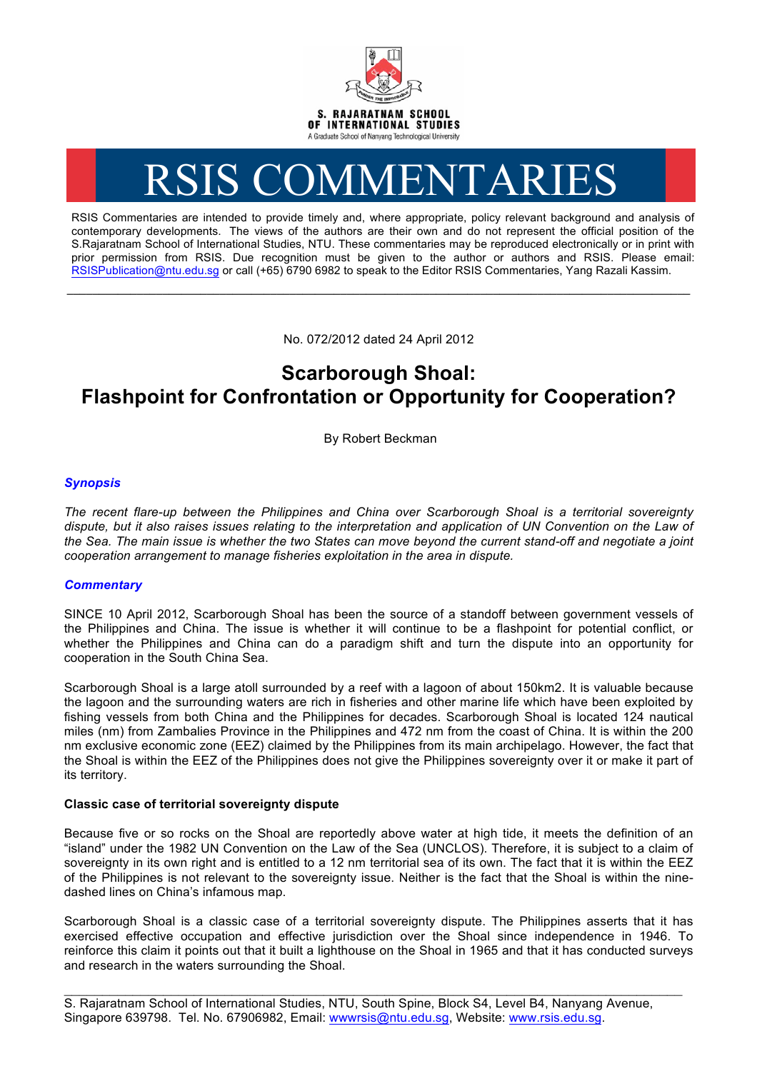

# RSIS COMMENTARIES

RSIS Commentaries are intended to provide timely and, where appropriate, policy relevant background and analysis of contemporary developments. The views of the authors are their own and do not represent the official position of the S.Rajaratnam School of International Studies, NTU. These commentaries may be reproduced electronically or in print with prior permission from RSIS. Due recognition must be given to the author or authors and RSIS. Please email: RSISPublication@ntu.edu.sg or call (+65) 6790 6982 to speak to the Editor RSIS Commentaries, Yang Razali Kassim.

No. 072/2012 dated 24 April 2012

**\_\_\_\_\_\_\_\_\_\_\_\_\_\_\_\_\_\_\_\_\_\_\_\_\_\_\_\_\_\_\_\_\_\_\_\_\_\_\_\_\_\_\_\_\_\_\_\_\_\_\_\_\_\_\_\_\_\_\_\_\_\_\_\_\_\_\_\_\_\_\_\_\_\_\_\_\_\_\_\_\_\_\_\_\_\_\_\_\_\_\_\_\_\_\_\_\_\_**

# **Scarborough Shoal: Flashpoint for Confrontation or Opportunity for Cooperation?**

By Robert Beckman

## *Synopsis*

*The recent flare-up between the Philippines and China over Scarborough Shoal is a territorial sovereignty dispute, but it also raises issues relating to the interpretation and application of UN Convention on the Law of the Sea. The main issue is whether the two States can move beyond the current stand-off and negotiate a joint cooperation arrangement to manage fisheries exploitation in the area in dispute.*

## *Commentary*

SINCE 10 April 2012, Scarborough Shoal has been the source of a standoff between government vessels of the Philippines and China. The issue is whether it will continue to be a flashpoint for potential conflict, or whether the Philippines and China can do a paradigm shift and turn the dispute into an opportunity for cooperation in the South China Sea.

Scarborough Shoal is a large atoll surrounded by a reef with a lagoon of about 150km2. It is valuable because the lagoon and the surrounding waters are rich in fisheries and other marine life which have been exploited by fishing vessels from both China and the Philippines for decades. Scarborough Shoal is located 124 nautical miles (nm) from Zambalies Province in the Philippines and 472 nm from the coast of China. It is within the 200 nm exclusive economic zone (EEZ) claimed by the Philippines from its main archipelago. However, the fact that the Shoal is within the EEZ of the Philippines does not give the Philippines sovereignty over it or make it part of its territory.

#### **Classic case of territorial sovereignty dispute**

Because five or so rocks on the Shoal are reportedly above water at high tide, it meets the definition of an "island" under the 1982 UN Convention on the Law of the Sea (UNCLOS). Therefore, it is subject to a claim of sovereignty in its own right and is entitled to a 12 nm territorial sea of its own. The fact that it is within the EEZ of the Philippines is not relevant to the sovereignty issue. Neither is the fact that the Shoal is within the ninedashed lines on China's infamous map.

Scarborough Shoal is a classic case of a territorial sovereignty dispute. The Philippines asserts that it has exercised effective occupation and effective jurisdiction over the Shoal since independence in 1946. To reinforce this claim it points out that it built a lighthouse on the Shoal in 1965 and that it has conducted surveys and research in the waters surrounding the Shoal.

\_\_\_\_\_\_\_\_\_\_\_\_\_\_\_\_\_\_\_\_\_\_\_\_\_\_\_\_\_\_\_\_\_\_\_\_\_\_\_\_\_\_\_\_\_\_\_\_\_\_\_\_\_\_\_\_\_\_\_\_\_\_\_\_\_\_\_\_\_\_\_\_\_\_\_\_\_\_\_\_\_